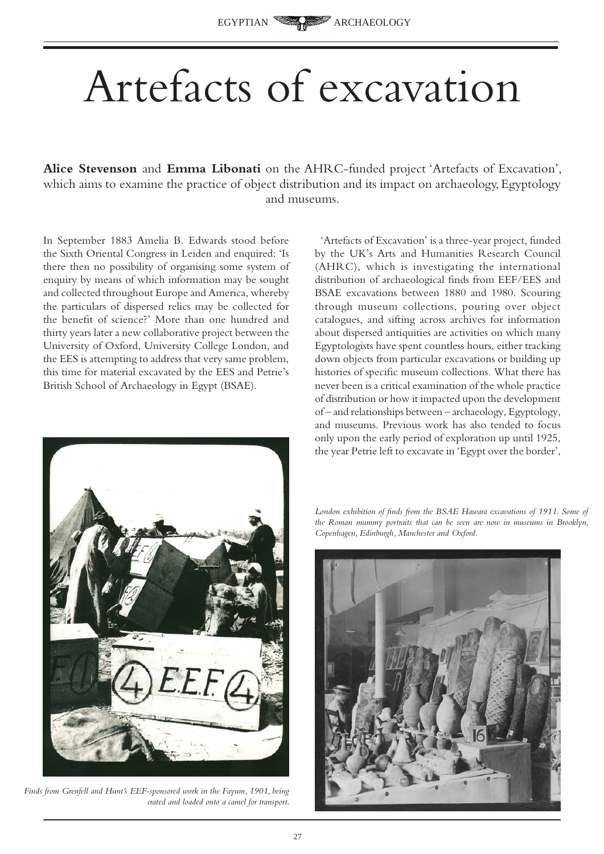## Artefacts of excavation

**Alice Stevenson** and **Emma Libonati** on the AHRC-funded project 'Artefacts of Excavation', which aims to examine the practice of object distribution and its impact on archaeology, Egyptology and museums.

In September 1883 Amelia B. Edwards stood before the Sixth Oriental Congress in Leiden and enquired: 'Is there then no possibility of organising some system of enquiry by means of which information may be sought and collected throughout Europe and America, whereby the particulars of dispersed relics may be collected for the benefit of science?' More than one hundred and thirty years later a new collaborative project between the University of Oxford, University College London, and the EES is attempting to address that very same problem, this time for material excavated by the EES and Petrie's British School of Archaeology in Egypt (BSAE).



*Finds from Grenfell and Hunt's EEF-sponsored work in the Fayum, 1901, being crated and loaded onto a camel for transport.* 

'Artefacts of Excavation' is a three-year project, funded by the UK's Arts and Humanities Research Council (AHRC), which is investigating the international distribution of archaeological finds from EEF/EES and BSAE excavations between 1880 and 1980. Scouring through museum collections, pouring over object catalogues, and sifting across archives for information about dispersed antiquities are activities on which many Egyptologists have spent countless hours, either tracking down objects from particular excavations or building up histories of specific museum collections. What there has never been is a critical examination of the whole practice of distribution or how it impacted upon the development of – and relationships between – archaeology, Egyptology, and museums. Previous work has also tended to focus only upon the early period of exploration up until 1925, the year Petrie left to excavate in 'Egypt over the border',

London exhibition of finds from the BSAE Hawara excavations of 1911. Some of *the Roman mummy portraits that can be seen are now in museums in Brooklyn, Copenhagen, Edinburgh, Manchester and Oxford.* 

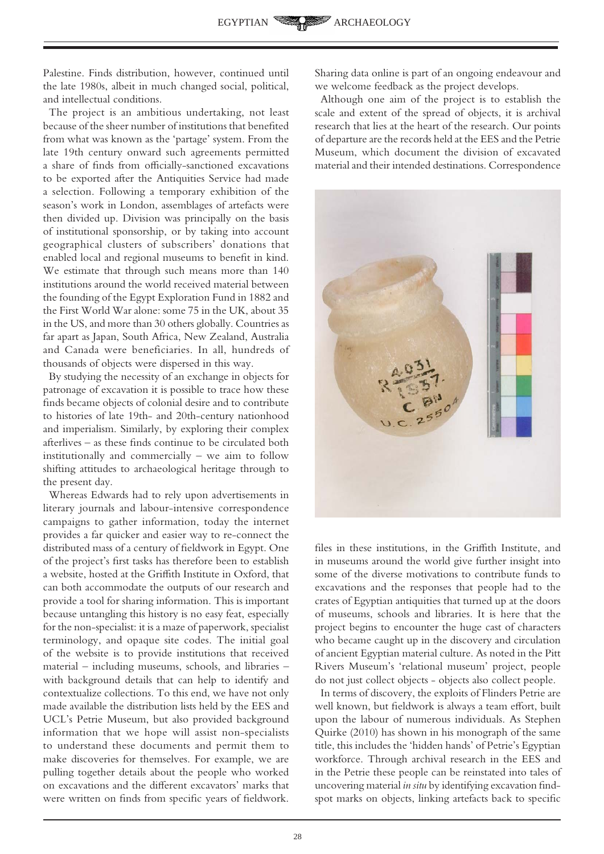Palestine. Finds distribution, however, continued until the late 1980s, albeit in much changed social, political, and intellectual conditions.

The project is an ambitious undertaking, not least because of the sheer number of institutions that benefited from what was known as the 'partage' system. From the late 19th century onward such agreements permitted a share of finds from officially-sanctioned excavations to be exported after the Antiquities Service had made a selection. Following a temporary exhibition of the season's work in London, assemblages of artefacts were then divided up. Division was principally on the basis of institutional sponsorship, or by taking into account geographical clusters of subscribers' donations that enabled local and regional museums to benefit in kind. We estimate that through such means more than 140 institutions around the world received material between the founding of the Egypt Exploration Fund in 1882 and the First World War alone: some 75 in the UK, about 35 in the US, and more than 30 others globally. Countries as far apart as Japan, South Africa, New Zealand, Australia and Canada were beneficiaries. In all, hundreds of thousands of objects were dispersed in this way.

By studying the necessity of an exchange in objects for patronage of excavation it is possible to trace how these finds became objects of colonial desire and to contribute to histories of late 19th- and 20th-century nationhood and imperialism. Similarly, by exploring their complex afterlives – as these finds continue to be circulated both institutionally and commercially – we aim to follow shifting attitudes to archaeological heritage through to the present day.

Whereas Edwards had to rely upon advertisements in literary journals and labour-intensive correspondence campaigns to gather information, today the internet provides a far quicker and easier way to re-connect the distributed mass of a century of fieldwork in Egypt. One of the project's first tasks has therefore been to establish a website, hosted at the Griffith Institute in Oxford, that can both accommodate the outputs of our research and provide a tool for sharing information. This is important because untangling this history is no easy feat, especially for the non-specialist: it is a maze of paperwork, specialist terminology, and opaque site codes. The initial goal of the website is to provide institutions that received material – including museums, schools, and libraries – with background details that can help to identify and contextualize collections. To this end, we have not only made available the distribution lists held by the EES and UCL's Petrie Museum, but also provided background information that we hope will assist non-specialists to understand these documents and permit them to make discoveries for themselves. For example, we are pulling together details about the people who worked on excavations and the different excavators' marks that were written on finds from specific years of fieldwork.

Sharing data online is part of an ongoing endeavour and we welcome feedback as the project develops.

Although one aim of the project is to establish the scale and extent of the spread of objects, it is archival research that lies at the heart of the research. Our points of departure are the records held at the EES and the Petrie Museum, which document the division of excavated material and their intended destinations. Correspondence



files in these institutions, in the Griffith Institute, and in museums around the world give further insight into some of the diverse motivations to contribute funds to excavations and the responses that people had to the crates of Egyptian antiquities that turned up at the doors of museums, schools and libraries. It is here that the project begins to encounter the huge cast of characters who became caught up in the discovery and circulation of ancient Egyptian material culture. As noted in the Pitt Rivers Museum's 'relational museum' project, people do not just collect objects - objects also collect people.

In terms of discovery, the exploits of Flinders Petrie are well known, but fieldwork is always a team effort, built upon the labour of numerous individuals. As Stephen Quirke (2010) has shown in his monograph of the same title, this includes the 'hidden hands' of Petrie's Egyptian workforce. Through archival research in the EES and in the Petrie these people can be reinstated into tales of uncovering material *in situ* by identifying excavation findspot marks on objects, linking artefacts back to specific